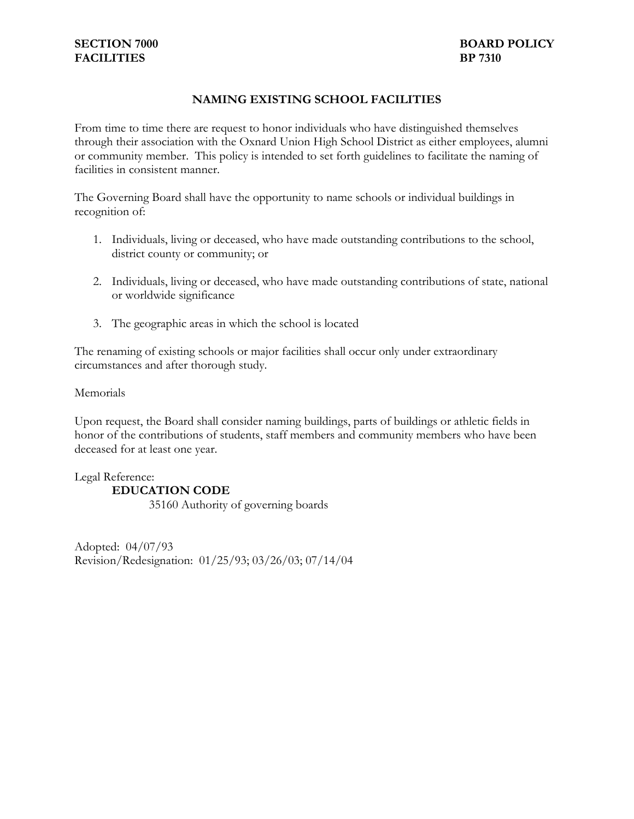## **NAMING EXISTING SCHOOL FACILITIES**

From time to time there are request to honor individuals who have distinguished themselves through their association with the Oxnard Union High School District as either employees, alumni or community member. This policy is intended to set forth guidelines to facilitate the naming of facilities in consistent manner.

The Governing Board shall have the opportunity to name schools or individual buildings in recognition of:

- 1. Individuals, living or deceased, who have made outstanding contributions to the school, district county or community; or
- 2. Individuals, living or deceased, who have made outstanding contributions of state, national or worldwide significance
- 3. The geographic areas in which the school is located

The renaming of existing schools or major facilities shall occur only under extraordinary circumstances and after thorough study.

Memorials

Upon request, the Board shall consider naming buildings, parts of buildings or athletic fields in honor of the contributions of students, staff members and community members who have been deceased for at least one year.

Legal Reference: **EDUCATION CODE**  35160 Authority of governing boards

Adopted: 04/07/93 Revision/Redesignation: 01/25/93; 03/26/03; 07/14/04